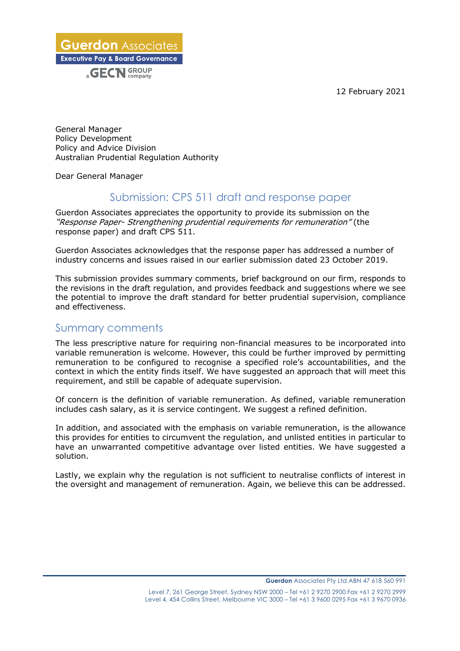12 February 2021

**Guerdon** Associates **Executive Pay & Board Governance** a **GECN** GROUP

General Manager Policy Development Policy and Advice Division Australian Prudential Regulation Authority

Dear General Manager

## Submission: CPS 511 draft and response paper

Guerdon Associates appreciates the opportunity to provide its submission on the "Response Paper- Strengthening prudential requirements for remuneration" (the response paper) and draft CPS 511.

Guerdon Associates acknowledges that the response paper has addressed a number of industry concerns and issues raised in our earlier submission dated 23 October 2019.

This submission provides summary comments, brief background on our firm, responds to the revisions in the draft regulation, and provides feedback and suggestions where we see the potential to improve the draft standard for better prudential supervision, compliance and effectiveness.

### Summary comments

The less prescriptive nature for requiring non-financial measures to be incorporated into variable remuneration is welcome. However, this could be further improved by permitting remuneration to be configured to recognise a specified role's accountabilities, and the context in which the entity finds itself. We have suggested an approach that will meet this requirement, and still be capable of adequate supervision.

Of concern is the definition of variable remuneration. As defined, variable remuneration includes cash salary, as it is service contingent. We suggest a refined definition.

In addition, and associated with the emphasis on variable remuneration, is the allowance this provides for entities to circumvent the regulation, and unlisted entities in particular to have an unwarranted competitive advantage over listed entities. We have suggested a solution.

Lastly, we explain why the regulation is not sufficient to neutralise conflicts of interest in the oversight and management of remuneration. Again, we believe this can be addressed.

**\_\_\_\_\_\_\_\_\_\_\_\_\_\_\_\_\_\_\_\_\_\_\_\_\_\_\_\_\_\_\_\_\_\_\_\_\_\_\_\_\_\_\_\_\_\_\_\_\_\_\_\_\_\_\_\_\_\_\_\_\_\_\_\_\_\_\_\_\_\_\_\_\_\_\_\_\_\_\_\_\_\_\_\_\_\_\_\_\_\_\_\_\_\_**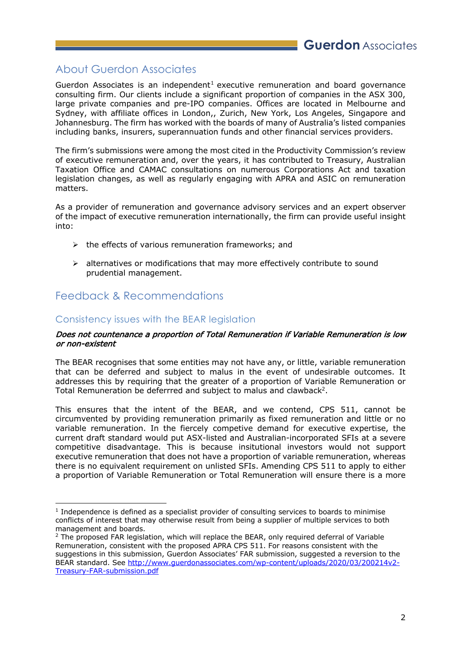# About Guerdon Associates

Guerdon Associates is an independent<sup>1</sup> executive remuneration and board governance consulting firm. Our clients include a significant proportion of companies in the ASX 300, large private companies and pre-IPO companies. Offices are located in Melbourne and Sydney, with affiliate offices in London,, Zurich, New York, Los Angeles, Singapore and Johannesburg. The firm has worked with the boards of many of Australia's listed companies including banks, insurers, superannuation funds and other financial services providers.

The firm's submissions were among the most cited in the Productivity Commission's review of executive remuneration and, over the years, it has contributed to Treasury, Australian Taxation Office and CAMAC consultations on numerous Corporations Act and taxation legislation changes, as well as regularly engaging with APRA and ASIC on remuneration matters.

As a provider of remuneration and governance advisory services and an expert observer of the impact of executive remuneration internationally, the firm can provide useful insight into:

- $\triangleright$  the effects of various remuneration frameworks; and
- $\triangleright$  alternatives or modifications that may more effectively contribute to sound prudential management.

# Feedback & Recommendations

### Consistency issues with the BEAR legislation

#### Does not countenance a proportion of Total Remuneration if Variable Remuneration is low or non-existent

The BEAR recognises that some entities may not have any, or little, variable remuneration that can be deferred and subject to malus in the event of undesirable outcomes. It addresses this by requiring that the greater of a proportion of Variable Remuneration or Total Remuneration be deferrred and subject to malus and clawback<sup>2</sup>.

This ensures that the intent of the BEAR, and we contend, CPS 511, cannot be circumvented by providing remuneration primarily as fixed remuneration and little or no variable remuneration. In the fiercely competive demand for executive expertise, the current draft standard would put ASX-listed and Australian-incorporated SFIs at a severe competitive disadvantage. This is because insitutional investors would not support executive remuneration that does not have a proportion of variable remuneration, whereas there is no equivalent requirement on unlisted SFIs. Amending CPS 511 to apply to either a proportion of Variable Remuneration or Total Remuneration will ensure there is a more

 $<sup>1</sup>$  Independence is defined as a specialist provider of consulting services to boards to minimise</sup> conflicts of interest that may otherwise result from being a supplier of multiple services to both management and boards.

<sup>&</sup>lt;sup>2</sup> The proposed FAR legislation, which will replace the BEAR, only required deferral of Variable Remuneration, consistent with the proposed APRA CPS 511. For reasons consistent with the suggestions in this submission, Guerdon Associates' FAR submission, suggested a reversion to the BEAR standard. See http://www.guerdonassociates.com/wp-content/uploads/2020/03/200214v2-Treasury-FAR-submission.pdf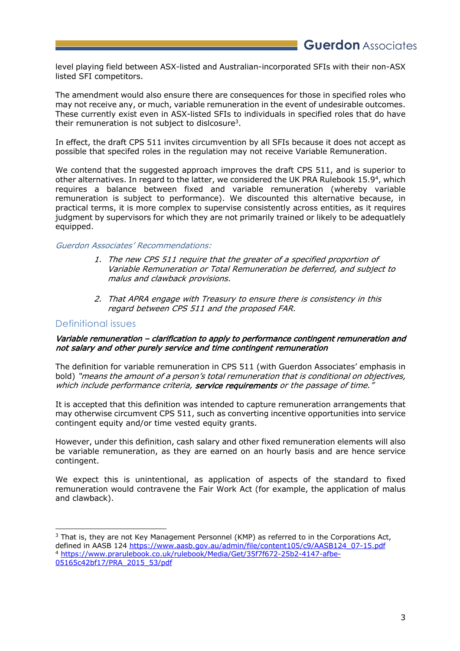level playing field between ASX-listed and Australian-incorporated SFIs with their non-ASX listed SFI competitors.

The amendment would also ensure there are consequences for those in specified roles who may not receive any, or much, variable remuneration in the event of undesirable outcomes. These currently exist even in ASX-listed SFIs to individuals in specified roles that do have their remuneration is not subject to dislcosure3.

In effect, the draft CPS 511 invites circumvention by all SFIs because it does not accept as possible that specifed roles in the regulation may not receive Variable Remuneration.

We contend that the suggested approach improves the draft CPS 511, and is superior to other alternatives. In regard to the latter, we considered the UK PRA Rulebook 15.9<sup>4</sup>, which requires a balance between fixed and variable remuneration (whereby variable remuneration is subject to performance). We discounted this alternative because, in practical terms, it is more complex to supervise consistently across entities, as it requires judgment by supervisors for which they are not primarily trained or likely to be adequatlely equipped.

#### Guerdon Associates' Recommendations:

- 1. The new CPS 511 require that the greater of a specified proportion of Variable Remuneration or Total Remuneration be deferred, and subject to malus and clawback provisions.
- 2. That APRA engage with Treasury to ensure there is consistency in this regard between CPS 511 and the proposed FAR.

#### Definitional issues

#### Variable remuneration – clarification to apply to performance contingent remuneration and not salary and other purely service and time contingent remuneration

The definition for variable remuneration in CPS 511 (with Guerdon Associates' emphasis in bold) "means the amount of a person's total remuneration that is conditional on objectives, which include performance criteria, service requirements or the passage of time."

It is accepted that this definition was intended to capture remuneration arrangements that may otherwise circumvent CPS 511, such as converting incentive opportunities into service contingent equity and/or time vested equity grants.

However, under this definition, cash salary and other fixed remuneration elements will also be variable remuneration, as they are earned on an hourly basis and are hence service contingent.

We expect this is unintentional, as application of aspects of the standard to fixed remuneration would contravene the Fair Work Act (for example, the application of malus and clawback).

<sup>&</sup>lt;sup>3</sup> That is, they are not Key Management Personnel (KMP) as referred to in the Corporations Act, defined in AASB 124 https://www.aasb.gov.au/admin/file/content105/c9/AASB124\_07-15.pdf <sup>4</sup> https://www.prarulebook.co.uk/rulebook/Media/Get/35f7f672-25b2-4147-afbe-05165c42bf17/PRA\_2015\_53/pdf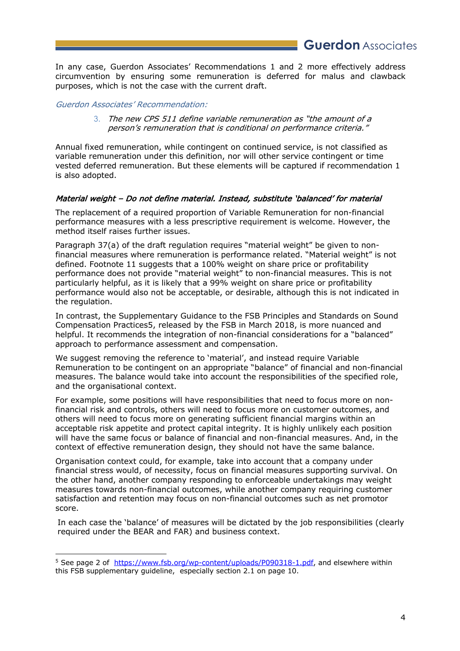In any case, Guerdon Associates' Recommendations 1 and 2 more effectively address circumvention by ensuring some remuneration is deferred for malus and clawback purposes, which is not the case with the current draft.

Guerdon Associates' Recommendation:

3. The new CPS 511 define variable remuneration as "the amount of a person's remuneration that is conditional on performance criteria."

Annual fixed remuneration, while contingent on continued service, is not classified as variable remuneration under this definition, nor will other service contingent or time vested deferred remuneration. But these elements will be captured if recommendation 1 is also adopted.

#### Material weight – Do not define material. Instead, substitute 'balanced' for material

The replacement of a required proportion of Variable Remuneration for non-financial performance measures with a less prescriptive requirement is welcome. However, the method itself raises further issues.

Paragraph 37(a) of the draft regulation requires "material weight" be given to nonfinancial measures where remuneration is performance related. "Material weight" is not defined. Footnote 11 suggests that a 100% weight on share price or profitability performance does not provide "material weight" to non-financial measures. This is not particularly helpful, as it is likely that a 99% weight on share price or profitability performance would also not be acceptable, or desirable, although this is not indicated in the regulation.

In contrast, the Supplementary Guidance to the FSB Principles and Standards on Sound Compensation Practices5, released by the FSB in March 2018, is more nuanced and helpful. It recommends the integration of non-financial considerations for a "balanced" approach to performance assessment and compensation.

We suggest removing the reference to 'material', and instead require Variable Remuneration to be contingent on an appropriate "balance" of financial and non-financial measures. The balance would take into account the responsibilities of the specified role, and the organisational context.

For example, some positions will have responsibilities that need to focus more on nonfinancial risk and controls, others will need to focus more on customer outcomes, and others will need to focus more on generating sufficient financial margins within an acceptable risk appetite and protect capital integrity. It is highly unlikely each position will have the same focus or balance of financial and non-financial measures. And, in the context of effective remuneration design, they should not have the same balance.

Organisation context could, for example, take into account that a company under financial stress would, of necessity, focus on financial measures supporting survival. On the other hand, another company responding to enforceable undertakings may weight measures towards non-financial outcomes, while another company requiring customer satisfaction and retention may focus on non-financial outcomes such as net promotor score.

In each case the 'balance' of measures will be dictated by the job responsibilities (clearly required under the BEAR and FAR) and business context.

<sup>&</sup>lt;sup>5</sup> See page 2 of https://www.fsb.org/wp-content/uploads/P090318-1.pdf, and elsewhere within this FSB supplementary guideline, especially section 2.1 on page 10.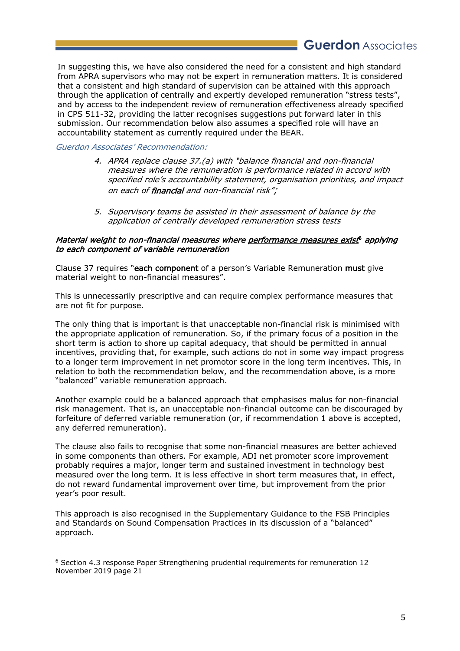# **Guerdon** Associates

In suggesting this, we have also considered the need for a consistent and high standard from APRA supervisors who may not be expert in remuneration matters. It is considered that a consistent and high standard of supervision can be attained with this approach through the application of centrally and expertly developed remuneration "stress tests", and by access to the independent review of remuneration effectiveness already specified in CPS 511-32, providing the latter recognises suggestions put forward later in this submission. Our recommendation below also assumes a specified role will have an accountability statement as currently required under the BEAR.

Guerdon Associates' Recommendation:

- 4. APRA replace clause 37.(a) with "balance financial and non-financial measures where the remuneration is performance related in accord with specified role's accountability statement, organisation priorities, and impact on each of financial and non-financial risk";
- 5. Supervisory teams be assisted in their assessment of balance by the application of centrally developed remuneration stress tests

#### Material weight to non-financial measures where performance measures exist<sup>6</sup> applying to each component of variable remuneration

Clause 37 requires "each component of a person's Variable Remuneration must give material weight to non-financial measures".

This is unnecessarily prescriptive and can require complex performance measures that are not fit for purpose.

The only thing that is important is that unacceptable non-financial risk is minimised with the appropriate application of remuneration. So, if the primary focus of a position in the short term is action to shore up capital adequacy, that should be permitted in annual incentives, providing that, for example, such actions do not in some way impact progress to a longer term improvement in net promotor score in the long term incentives. This, in relation to both the recommendation below, and the recommendation above, is a more "balanced" variable remuneration approach.

Another example could be a balanced approach that emphasises malus for non-financial risk management. That is, an unacceptable non-financial outcome can be discouraged by forfeiture of deferred variable remuneration (or, if recommendation 1 above is accepted, any deferred remuneration).

The clause also fails to recognise that some non-financial measures are better achieved in some components than others. For example, ADI net promoter score improvement probably requires a major, longer term and sustained investment in technology best measured over the long term. It is less effective in short term measures that, in effect, do not reward fundamental improvement over time, but improvement from the prior year's poor result.

This approach is also recognised in the Supplementary Guidance to the FSB Principles and Standards on Sound Compensation Practices in its discussion of a "balanced" approach.

<sup>6</sup> Section 4.3 response Paper Strengthening prudential requirements for remuneration 12 November 2019 page 21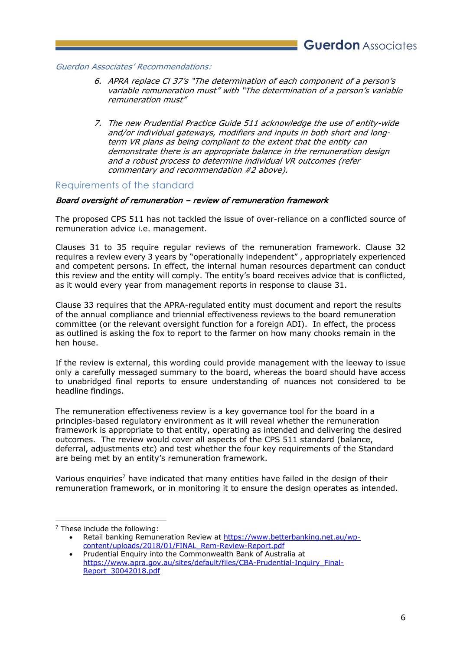Guerdon Associates' Recommendations:

- 6. APRA replace Cl 37's "The determination of each component of a person's variable remuneration must" with "The determination of a person's variable remuneration must"
- 7. The new Prudential Practice Guide 511 acknowledge the use of entity-wide and/or individual gateways, modifiers and inputs in both short and longterm VR plans as being compliant to the extent that the entity can demonstrate there is an appropriate balance in the remuneration design and a robust process to determine individual VR outcomes (refer commentary and recommendation #2 above).

#### Requirements of the standard

#### Board oversight of remuneration - review of remuneration framework

The proposed CPS 511 has not tackled the issue of over-reliance on a conflicted source of remuneration advice i.e. management.

Clauses 31 to 35 require regular reviews of the remuneration framework. Clause 32 requires a review every 3 years by "operationally independent" , appropriately experienced and competent persons. In effect, the internal human resources department can conduct this review and the entity will comply. The entity's board receives advice that is conflicted, as it would every year from management reports in response to clause 31.

Clause 33 requires that the APRA-regulated entity must document and report the results of the annual compliance and triennial effectiveness reviews to the board remuneration committee (or the relevant oversight function for a foreign ADI). In effect, the process as outlined is asking the fox to report to the farmer on how many chooks remain in the hen house.

If the review is external, this wording could provide management with the leeway to issue only a carefully messaged summary to the board, whereas the board should have access to unabridged final reports to ensure understanding of nuances not considered to be headline findings.

The remuneration effectiveness review is a key governance tool for the board in a principles-based regulatory environment as it will reveal whether the remuneration framework is appropriate to that entity, operating as intended and delivering the desired outcomes. The review would cover all aspects of the CPS 511 standard (balance, deferral, adjustments etc) and test whether the four key requirements of the Standard are being met by an entity's remuneration framework.

Various enquiries<sup>7</sup> have indicated that many entities have failed in the design of their remuneration framework, or in monitoring it to ensure the design operates as intended.

<sup>7</sup> These include the following:

Retail banking Remuneration Review at https://www.betterbanking.net.au/wpcontent/uploads/2018/01/FINAL\_Rem-Review-Report.pdf

<sup>•</sup> Prudential Enquiry into the Commonwealth Bank of Australia at https://www.apra.gov.au/sites/default/files/CBA-Prudential-Inquiry\_Final-Report\_30042018.pdf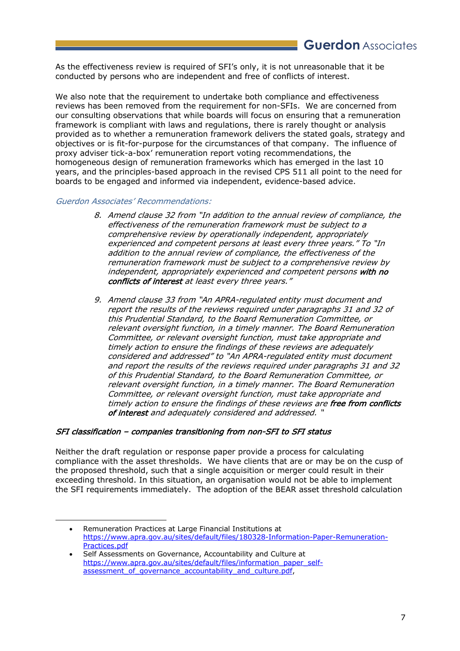As the effectiveness review is required of SFI's only, it is not unreasonable that it be conducted by persons who are independent and free of conflicts of interest.

We also note that the requirement to undertake both compliance and effectiveness reviews has been removed from the requirement for non-SFIs. We are concerned from our consulting observations that while boards will focus on ensuring that a remuneration framework is compliant with laws and regulations, there is rarely thought or analysis provided as to whether a remuneration framework delivers the stated goals, strategy and objectives or is fit-for-purpose for the circumstances of that company. The influence of proxy adviser tick-a-box' remuneration report voting recommendations, the homogeneous design of remuneration frameworks which has emerged in the last 10 years, and the principles-based approach in the revised CPS 511 all point to the need for boards to be engaged and informed via independent, evidence-based advice.

Guerdon Associates' Recommendations:

- 8. Amend clause 32 from "In addition to the annual review of compliance, the effectiveness of the remuneration framework must be subject to a comprehensive review by operationally independent, appropriately experienced and competent persons at least every three years." To "In addition to the annual review of compliance, the effectiveness of the remuneration framework must be subject to a comprehensive review by independent, appropriately experienced and competent persons with no conflicts of interest at least every three years."
- 9. Amend clause 33 from "An APRA-regulated entity must document and report the results of the reviews required under paragraphs 31 and 32 of this Prudential Standard, to the Board Remuneration Committee, or relevant oversight function, in a timely manner. The Board Remuneration Committee, or relevant oversight function, must take appropriate and timely action to ensure the findings of these reviews are adequately considered and addressed" to "An APRA-regulated entity must document and report the results of the reviews required under paragraphs 31 and 32 of this Prudential Standard, to the Board Remuneration Committee, or relevant oversight function, in a timely manner. The Board Remuneration Committee, or relevant oversight function, must take appropriate and timely action to ensure the findings of these reviews are free from conflicts of interest and adequately considered and addressed. "

#### SFI classification – companies transitioning from non-SFI to SFI status

Neither the draft regulation or response paper provide a process for calculating compliance with the asset thresholds. We have clients that are or may be on the cusp of the proposed threshold, such that a single acquisition or merger could result in their exceeding threshold. In this situation, an organisation would not be able to implement the SFI requirements immediately. The adoption of the BEAR asset threshold calculation

<sup>•</sup> Remuneration Practices at Large Financial Institutions at https://www.apra.gov.au/sites/default/files/180328-Information-Paper-Remuneration-Practices.pdf

<sup>•</sup> Self Assessments on Governance, Accountability and Culture at https://www.apra.gov.au/sites/default/files/information\_paper\_selfassessment of governance accountability and culture.pdf,